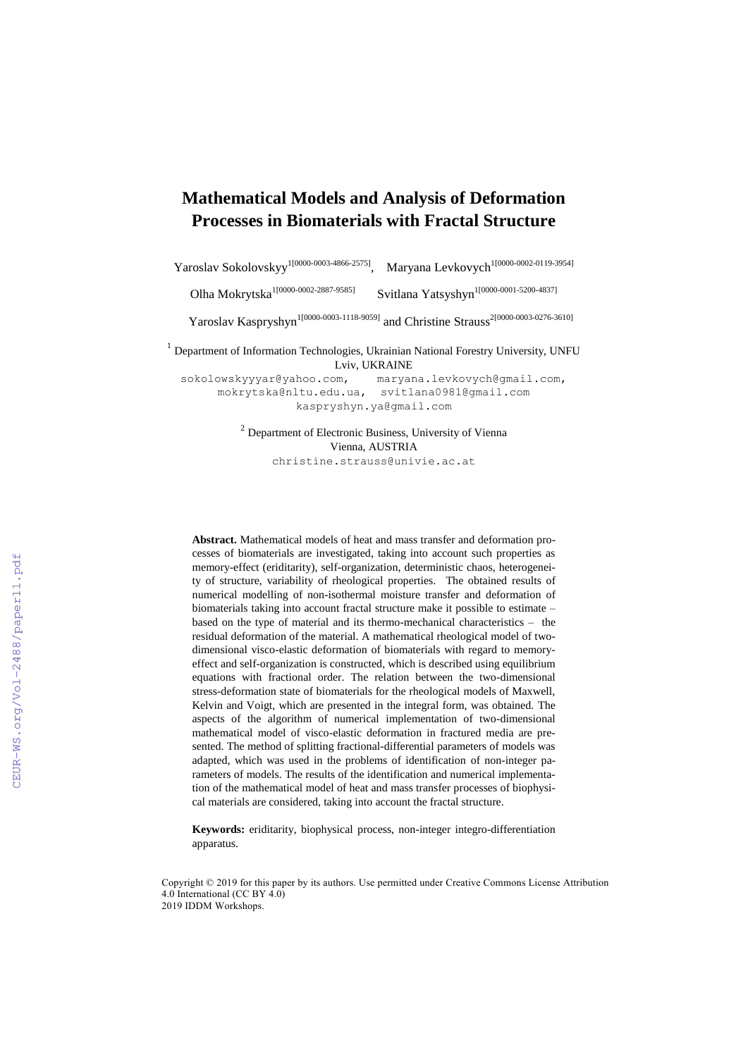# **Mathematical Models and Analysis of Deformation Processes in Biomaterials with Fractal Structure**

Yaroslav Sokolovskyy<sup>1[0000-0003-4866-2575]</sup> Maryana Levkovych<sup>1[0000-0002-0119-3954]</sup>

Olha Mokrytska 1[0000-0002-2887-9585] Svitlana Yatsyshyn 1[0000-0001-5200-4837]

Yaroslav Kaspryshyn<sup>1[0000-0003-1118-9059]</sup> and Christine Strauss<sup>2[0000-0003-0276-3610]</sup>

 $<sup>1</sup>$  Department of Information Technologies, Ukrainian National Forestry University, UNFU</sup> Lviv, UKRAINE

[sokolowskyyyar@yahoo.com,](mailto:sokolowskyyyar@yahoo.com) [maryana.levkovych@gmail.com,](mailto:maryana.levkovych@gmail.com) [mokrytska@nltu.edu.ua,](mailto:mokrytska@nltu.edu.ua) svitlana0981@gmail.com [kaspryshyn.ya@gmail.com](mailto:kaspryshyn.ya@gmail.com)

> $2$  Department of Electronic Business, University of Vienna Vienna, AUSTRIA christine.strauss@univie.ac.at

**Abstract.** Mathematical models of heat and mass transfer and deformation processes of biomaterials are investigated, taking into account such properties as memory-effect (eriditarity), self-organization, deterministic chaos, heterogeneity of structure, variability of rheological properties. The obtained results of numerical modelling of non-isothermal moisture transfer and deformation of biomaterials taking into account fractal structure make it possible to estimate – based on the type of material and its thermo-mechanical characteristics – the residual deformation of the material. A mathematical rheological model of twodimensional visco-elastic deformation of biomaterials with regard to memoryeffect and self-organization is constructed, which is described using equilibrium equations with fractional order. The relation between the two-dimensional stress-deformation state of biomaterials for the rheological models of Maxwell, Kelvin and Voigt, which are presented in the integral form, was obtained. The aspects of the algorithm of numerical implementation of two-dimensional mathematical model of visco-elastic deformation in fractured media are presented. The method of splitting fractional-differential parameters of models was adapted, which was used in the problems of identification of non-integer parameters of models. The results of the identification and numerical implementation of the mathematical model of heat and mass transfer processes of biophysical materials are considered, taking into account the fractal structure.

**Keywords:** eriditarity, biophysical process, non-integer integro-differentiation apparatus.

Copyright © 2019 for this paper by its authors. Use permitted under Creative Commons License Attribution 4.0 International (CC BY 4.0) 2019 IDDM Workshops.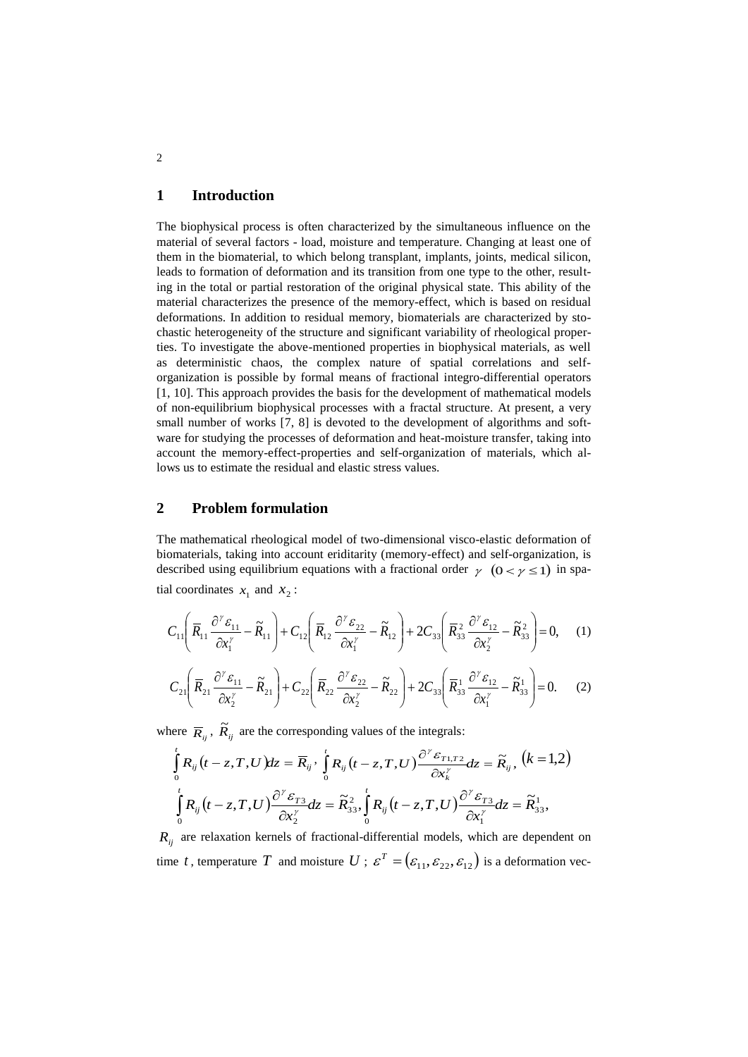### **1 Introduction**

The biophysical process is often characterized by the simultaneous influence on the material of several factors - load, moisture and temperature. Changing at least one of them in the biomaterial, to which belong transplant, implants, joints, medical silicon, leads to formation of deformation and its transition from one type to the other, resulting in the total or partial restoration of the original physical state. This ability of the material characterizes the presence of the memory-effect, which is based on residual deformations. In addition to residual memory, biomaterials are characterized by stochastic heterogeneity of the structure and significant variability of rheological properties. To investigate the above-mentioned properties in biophysical materials, as well as deterministic chaos, the complex nature of spatial correlations and selforganization is possible by formal means of fractional integro-differential operators [1, 10]. This approach provides the basis for the development of mathematical models of non-equilibrium biophysical processes with a fractal structure. At present, a very small number of works [7, 8] is devoted to the development of algorithms and software for studying the processes of deformation and heat-moisture transfer, taking into account the memory-effect-properties and self-organization of materials, which allows us to estimate the residual and elastic stress values.

## **2 Problem formulation**

The mathematical rheological model of two-dimensional visco-elastic deformation of biomaterials, taking into account eriditarity (memory-effect) and self-organization, is described using equilibrium equations with a fractional order  $\gamma$   $(0 < \gamma \le 1)$  in spatial coordinates  $x_1$  and  $x_2$ :

$$
C_{11}\left(\overline{R}_{11}\frac{\partial^{\gamma}\varepsilon_{11}}{\partial x_{1}^{\gamma}}-\widetilde{R}_{11}\right)+C_{12}\left(\overline{R}_{12}\frac{\partial^{\gamma}\varepsilon_{22}}{\partial x_{1}^{\gamma}}-\widetilde{R}_{12}\right)+2C_{33}\left(\overline{R}_{33}^{2}\frac{\partial^{\gamma}\varepsilon_{12}}{\partial x_{2}^{\gamma}}-\widetilde{R}_{33}^{2}\right)=0, \quad (1)
$$

$$
C_{21}\left(\overline{R}_{21}\frac{\partial^{\nu}\varepsilon_{11}}{\partial x_{2}^{\nu}}-\widetilde{R}_{21}\right)+C_{22}\left(\overline{R}_{22}\frac{\partial^{\nu}\varepsilon_{22}}{\partial x_{2}^{\nu}}-\widetilde{R}_{22}\right)+2C_{33}\left(\overline{R}_{33}^{1}\frac{\partial^{\nu}\varepsilon_{12}}{\partial x_{1}^{\nu}}-\widetilde{R}_{33}^{1}\right)=0.\tag{2}
$$

where  $\overline{R}_i$ ,  $\widetilde{R}_i$  are the corresponding values of the integrals:

$$
\int_{0}^{t} R_{ij}(t-z,T,U) dz = \overline{R}_{ij} \cdot \int_{0}^{t} R_{ij}(t-z,T,U) \frac{\partial^{y} \varepsilon_{T1,T2}}{\partial x_{k}^{y}} dz = \widetilde{R}_{ij}, (k=1,2)
$$
\n
$$
\int_{0}^{t} R_{ij}(t-z,T,U) \frac{\partial^{y} \varepsilon_{T3}}{\partial x_{2}^{y}} dz = \widetilde{R}_{33}^{2}, \int_{0}^{t} R_{ij}(t-z,T,U) \frac{\partial^{y} \varepsilon_{T3}}{\partial x_{1}^{y}} dz = \widetilde{R}_{33}^{1},
$$

*Rij* are relaxation kernels of fractional-differential models, which are dependent on time t, temperature T and moisture  $U$ ;  $\varepsilon^T = (\varepsilon_{11}, \varepsilon_{22}, \varepsilon_{12})$  is a deformation vec-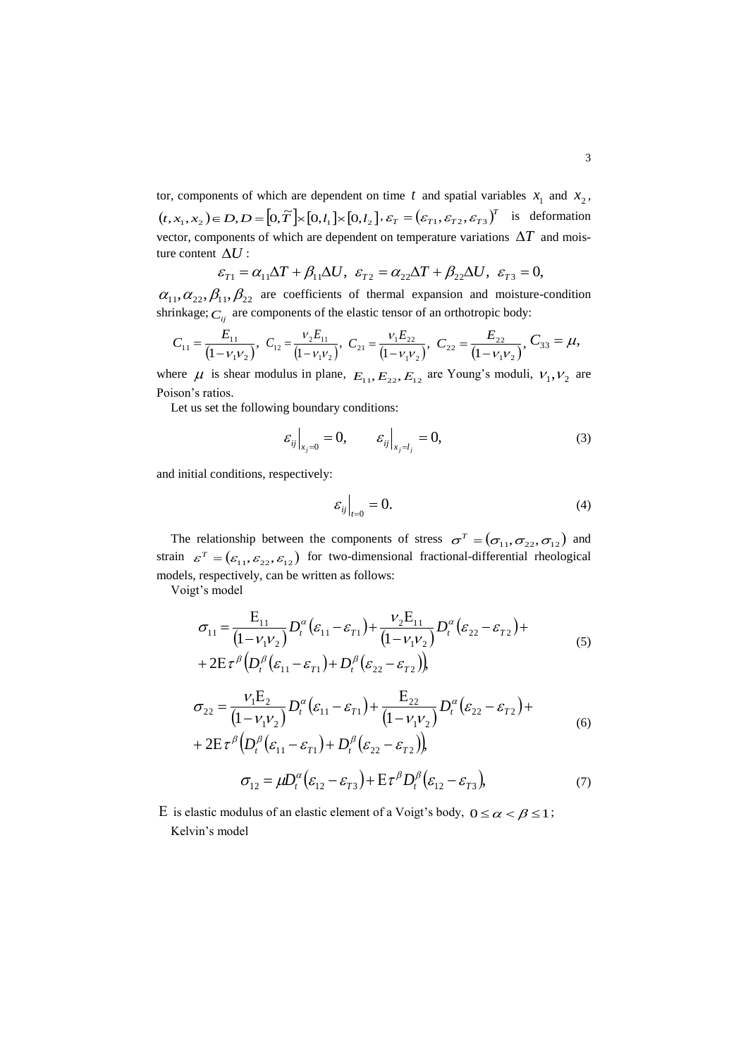tor, components of which are dependent on time t and spatial variables  $x_1$  and  $x_2$ ,  $(t, x_1, x_2) \in D, D = [0, \tilde{T}] \times [0, l_1] \times [0, l_2], \varepsilon_T = (\varepsilon_{T1}, \varepsilon_{T2}, \varepsilon_{T3})^T$  $\mathcal{E}_T = (\mathcal{E}_{T1}, \mathcal{E}_{T2}, \mathcal{E}_{T3})^T$  is deformation vector, components of which are dependent on temperature variations  $\Delta T$  and moisture content  $\Delta U$  :

$$
\varepsilon_{T1} = \alpha_{11} \Delta T + \beta_{11} \Delta U, \ \varepsilon_{T2} = \alpha_{22} \Delta T + \beta_{22} \Delta U, \ \varepsilon_{T3} = 0,
$$

 $\alpha_{11}, \alpha_{22}, \beta_{11}, \beta_{22}$  are coefficients of thermal expansion and moisture-condition shrinkage;  $C_{ij}$  are components of the elastic tensor of an orthotropic body:

$$
C_{11} = \frac{E_{11}}{(1 - v_1 v_2)}, \ C_{12} = \frac{v_2 E_{11}}{(1 - v_1 v_2)}, \ C_{21} = \frac{v_1 E_{22}}{(1 - v_1 v_2)}, \ C_{22} = \frac{E_{22}}{(1 - v_1 v_2)}, \ C_{33} = \mu,
$$

where  $\mu$  is shear modulus in plane,  $E_{11}$ ,  $E_{22}$ ,  $E_{12}$  are Young's moduli,  $V_1$ ,  $V_2$  are Poison's ratios.

Let us set the following boundary conditions:

$$
\varepsilon_{ij}\Big|_{x_j=0} = 0, \qquad \varepsilon_{ij}\Big|_{x_j=l_j} = 0, \tag{3}
$$

and initial conditions, respectively:

$$
\varepsilon_{ij}\Big|_{t=0} = 0.\tag{4}
$$

The relationship between the components of stress  $\sigma^T = (\sigma_{11}, \sigma_{22}, \sigma_{12})$  and strain  $\epsilon^T = (\epsilon_{11}, \epsilon_{22}, \epsilon_{12})$  for two-dimensional fractional-differential rheological models, respectively, can be written as follows:

Voigt's model

$$
\sigma_{11} = \frac{E_{11}}{(1 - v_1 v_2)} D_t^{\alpha} (\varepsilon_{11} - \varepsilon_{T1}) + \frac{v_2 E_{11}}{(1 - v_1 v_2)} D_t^{\alpha} (\varepsilon_{22} - \varepsilon_{T2}) + + 2E \tau^{\beta} (D_t^{\beta} (\varepsilon_{11} - \varepsilon_{T1}) + D_t^{\beta} (\varepsilon_{22} - \varepsilon_{T2}))
$$
\n(5)

$$
\sigma_{22} = \frac{v_1 E_2}{(1 - v_1 v_2)} D_t^{\alpha} (\varepsilon_{11} - \varepsilon_{T1}) + \frac{E_{22}}{(1 - v_1 v_2)} D_t^{\alpha} (\varepsilon_{22} - \varepsilon_{T2}) + + 2E \tau^{\beta} (D_t^{\beta} (\varepsilon_{11} - \varepsilon_{T1}) + D_t^{\beta} (\varepsilon_{22} - \varepsilon_{T2}))
$$
\n(6)

$$
\sigma_{12} = \mu D_t^{\alpha} (\varepsilon_{12} - \varepsilon_{T3}) + \mathbf{E} \tau^{\beta} D_t^{\beta} (\varepsilon_{12} - \varepsilon_{T3}), \tag{7}
$$

E is elastic modulus of an elastic element of a Voigt's body,  $0 \le \alpha < \beta \le 1$ ; Kelvin's model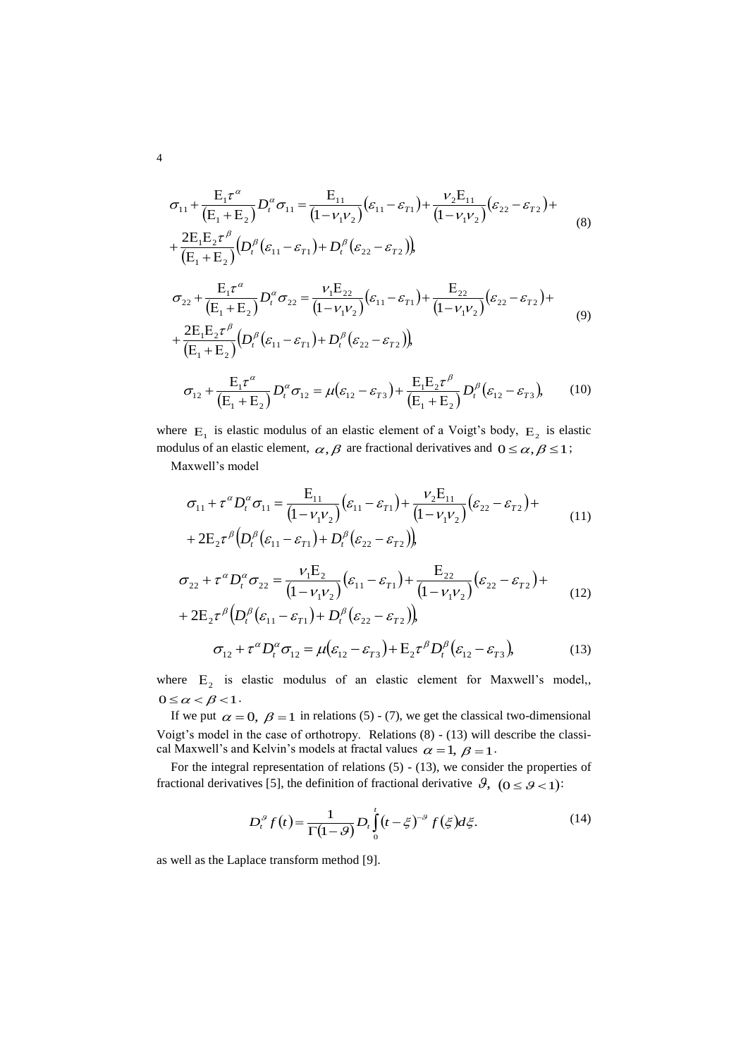$$
\sigma_{11} + \frac{E_1 \tau^{\alpha}}{(E_1 + E_2)} D_i^{\alpha} \sigma_{11} = \frac{E_{11}}{(1 - \nu_1 \nu_2)} (\varepsilon_{11} - \varepsilon_{T1}) + \frac{\nu_2 E_{11}}{(1 - \nu_1 \nu_2)} (\varepsilon_{22} - \varepsilon_{T2}) + \n+ \frac{2E_1 E_2 \tau^{\beta}}{(E_1 + E_2)} (D_i^{\beta} (\varepsilon_{11} - \varepsilon_{T1}) + D_i^{\beta} (\varepsilon_{22} - \varepsilon_{T2}))
$$
\n
$$
\sigma_{22} + \frac{E_1 \tau^{\alpha}}{(E_1 + E_2)} D_i^{\alpha} \sigma_{22} = \frac{\nu_1 E_{22}}{(1 - \nu_1 \nu_2)} (\varepsilon_{11} - \varepsilon_{T1}) + \frac{E_{22}}{(1 - \nu_1 \nu_2)} (\varepsilon_{22} - \varepsilon_{T2}) + \n+ \frac{2E_1 E_2 \tau^{\beta}}{(E_1 + E_2)} (D_i^{\beta} (\varepsilon_{11} - \varepsilon_{T1}) + D_i^{\beta} (\varepsilon_{22} - \varepsilon_{T2}))
$$
\n
$$
\sigma_{12} + \frac{E_1 \tau^{\alpha}}{(E_1 + E_2)} D_i^{\alpha} \sigma_{12} = \mu (\varepsilon_{12} - \varepsilon_{T3}) + \frac{E_1 E_2 \tau^{\beta}}{(E_1 + E_2)} D_i^{\beta} (\varepsilon_{12} - \varepsilon_{T3}), \qquad (10)
$$

where  $E_1$  is elastic modulus of an elastic element of a Voigt's body,  $E_2$  is elastic modulus of an elastic element,  $\alpha$ ,  $\beta$  are fractional derivatives and  $0 \leq \alpha$ ,  $\beta \leq 1$ ;

Maxwell's model

$$
\sigma_{11} + \tau^{\alpha} D_t^{\alpha} \sigma_{11} = \frac{E_{11}}{(1 - v_1 v_2)} (\varepsilon_{11} - \varepsilon_{T1}) + \frac{v_2 E_{11}}{(1 - v_1 v_2)} (\varepsilon_{22} - \varepsilon_{T2}) +
$$
  
+ 2E<sub>2</sub>  $\tau^{\beta}$   $(D_t^{\beta} (\varepsilon_{11} - \varepsilon_{T1}) + D_t^{\beta} (\varepsilon_{22} - \varepsilon_{T2})$ ,  

$$
\sigma_{22} + \tau^{\alpha} D_t^{\alpha} \sigma_{22} = \frac{v_1 E_2}{(1 - v_1 v_2)} (\varepsilon_{11} - \varepsilon_{T1}) + \frac{E_{22}}{(1 - v_1 v_2)} (\varepsilon_{22} - \varepsilon_{T2}) +
$$
  
+ 2E<sub>2</sub>  $\tau^{\beta}$   $(D_t^{\beta} (\varepsilon_{11} - \varepsilon_{T1}) + D_t^{\beta} (\varepsilon_{22} - \varepsilon_{T2})$ ,  

$$
\sigma_{12} + \tau^{\alpha} D_t^{\alpha} \sigma_{12} = \mu (\varepsilon_{12} - \varepsilon_{T3}) + E_2 \tau^{\beta} D_t^{\beta} (\varepsilon_{12} - \varepsilon_{T3}),
$$
(13)

where  $E_2$  is elastic modulus of an elastic element for Maxwell's model,,  $0 \leq \alpha < \beta < 1$ .

If we put  $\alpha = 0$ ,  $\beta = 1$  in relations (5) - (7), we get the classical two-dimensional Voigt's model in the case of orthotropy. Relations (8) - (13) will describe the classical Maxwell's and Kelvin's models at fractal values  $\alpha = 1, \beta = 1$ .

For the integral representation of relations (5) - (13), we consider the properties of fractional derivatives [5], the definition of fractional derivative  $\vartheta$ ,  $(0 \le \vartheta < 1)$ :

$$
D_t^{\beta} f(t) = \frac{1}{\Gamma(1-\beta)} D_t \int_0^t (t - \xi)^{-\beta} f(\xi) d\xi.
$$
 (14)

as well as the Laplace transform method [9].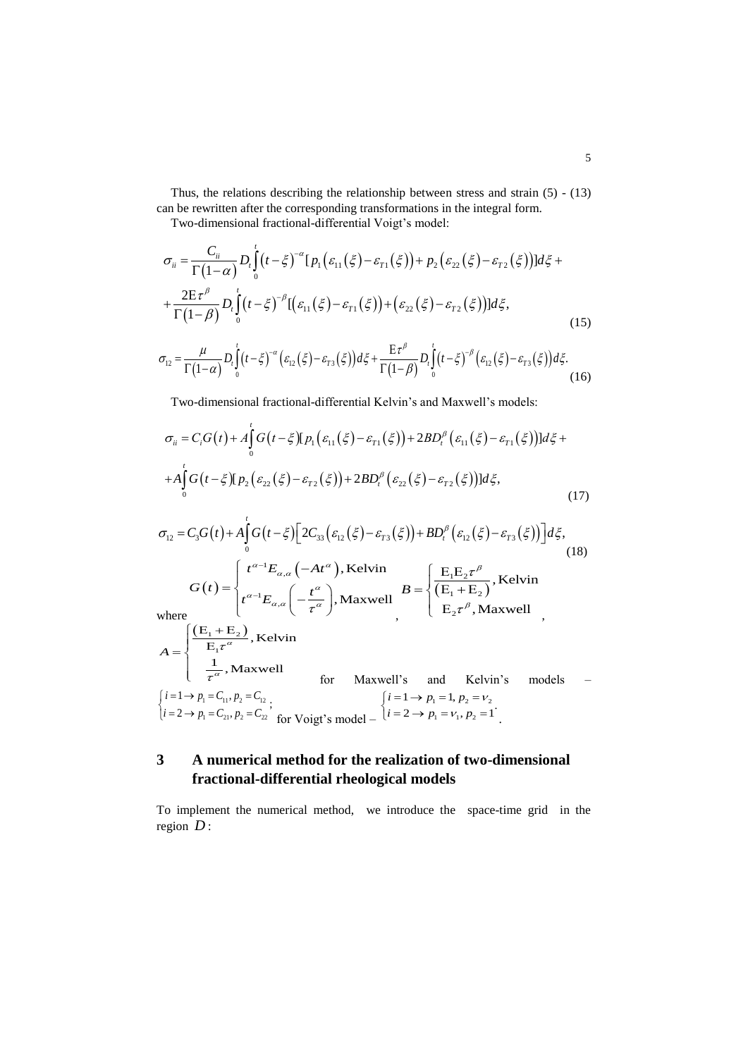Thus, the relations describing the relationship between stress and strain (5) - (13) can be rewritten after the corresponding transformations in the integral form.

*t*

$$
\sigma_{ii} = \frac{C_{ii}}{\Gamma(1-\alpha)} D_i \int_0^t (t-\xi)^{-\alpha} [P_1(\varepsilon_{11}(\xi) - \varepsilon_{T1}(\xi))] d\xi,
$$
\n
$$
\sigma_{ii} = \frac{C_{ii}}{\Gamma(1-\alpha)} D_i \int_0^t (t-\xi)^{-\alpha} [P_1(\varepsilon_{11}(\xi) - \varepsilon_{T1}(\xi))] + P_2(\varepsilon_{22}(\xi) - \varepsilon_{T2}(\xi))] d\xi + \frac{2E\tau^{\beta}}{\Gamma(1-\beta)} D_i \int_0^t (t-\xi)^{-\beta} [(\varepsilon_{11}(\xi) - \varepsilon_{T1}(\xi))] + (\varepsilon_{22}(\xi) - \varepsilon_{T2}(\xi))] d\xi,
$$
\n
$$
\sigma_{12} = \frac{\mu}{\Gamma(1-\alpha)} D_i \int_0^t (t-\xi)^{-\alpha} (\varepsilon_{12}(\xi) - \varepsilon_{T3}(\xi)) d\xi + \frac{E\tau^{\beta}}{\Gamma(1-\beta)} D_i \int_0^t (t-\xi)^{-\beta} (\varepsilon_{12}(\xi) - \varepsilon_{T3}(\xi)) d\xi.
$$
\n(16)

(15)  
\n
$$
\sigma_{12} = \frac{\mu}{\Gamma(1-\alpha)} D_i \int_0^t (t-\xi)^{-\alpha} \left( \varepsilon_{12}(\xi) - \varepsilon_{73}(\xi) \right) d\xi + \frac{E\tau^{\beta}}{\Gamma(1-\beta)} D_i \int_0^t (t-\xi)^{-\beta} \left( \varepsilon_{12}(\xi) - \varepsilon_{73}(\xi) \right) d\xi.
$$
\n(16)

Two-dimensional fractional-differential Kelvin's and Maxwell's models:  
\n
$$
\sigma_{ii} = C_i G(t) + A \int_0^t G(t-\xi) [p_1(\varepsilon_{11}(\xi) - \varepsilon_{r1}(\xi)) + 2BD_i^{\beta} (\varepsilon_{11}(\xi) - \varepsilon_{r1}(\xi))] d\xi + A \int_0^t G(t-\xi) [p_2(\varepsilon_{22}(\xi) - \varepsilon_{r2}(\xi)) + 2BD_i^{\beta} (\varepsilon_{22}(\xi) - \varepsilon_{r2}(\xi))] d\xi,
$$
\n(17)  
\n
$$
\sigma_{12} = C_3 G(t) + A \int_0^t G(t-\xi) [2C_{33}(\varepsilon_{12}(\xi) - \varepsilon_{r3}(\xi)) + BD_i^{\beta} (\varepsilon_{12}(\xi) - \varepsilon_{r3}(\xi))] d\xi,
$$
\n(18)

$$
\sigma_{12} = C_3 G(t) + A \int_0^t G(t-\xi) \Big[ 2C_{33} \Big( \varepsilon_{12} \Big( \xi \Big) - \varepsilon_{r3} \Big( \xi \Big) \Big) + BD_t^\beta \Big( \varepsilon_{12} \Big( \xi \Big) - \varepsilon_{r3} \Big( \xi \Big) \Big) \Big] d\xi,
$$
\n(18)  
\n
$$
G(t) = \begin{cases}\nt^{\alpha-1} E_{\alpha,\alpha} \Big( -At^\alpha \Big), \text{ Kelvin} & B = \begin{cases}\n\frac{E_1 E_2 \tau^\beta}{(E_1 + E_2)}, \text{ Kelvin} \\
\frac{E_2 \tau^\beta}{(E_1 + E_2)}, \text{Kelvin} & \frac{E_3 \tau^\beta}{(E_2 \tau^\beta)}, \text{Maximumell} \\
\frac{1}{E_1 \tau^\alpha}, \text{Maxwell} & \text{for Maxwell's and Kelvin's models} \\
\frac{1}{\tau^\alpha}, \text{Maxwell} & \text{for } \frac{1}{\tau^\alpha} \Big[ \frac{1}{\tau^\alpha} - \frac{1}{\tau^\alpha}, \text{Normalell's models} & \frac{1}{\tau^\alpha} \Big] \end{cases} & \text{for } \frac{1}{\tau^\alpha} = 1, p_1 = 1, p_2 = \nu_2 & \text{for } \frac{1}{\tau^\alpha} = 1, p_1 = \nu_1, p_2 = 1 \\
\frac{1}{\tau^\alpha} = 2 \rightarrow p_1 = C_{21}, p_2 = C_{22}, \text{for Voigt's model} - \frac{1}{\tau^\alpha} = \nu_1, p_2 = 1\n\end{cases}
$$

# **3 A numerical method for the realization of two-dimensional fractional-differential rheological models**

To implement the numerical method, we introduce the space-time grid in the region *D* :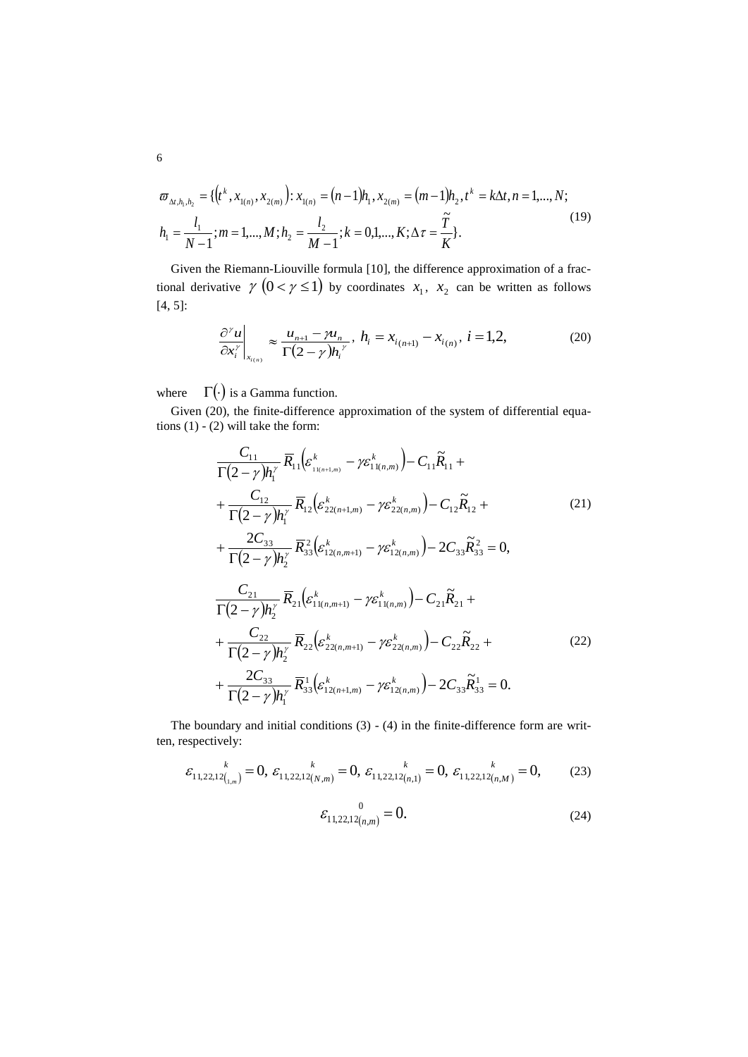$$
\varpi_{\Delta t, h_1, h_2} = \{ (t^k, x_{1(n)}, x_{2(m)}) : x_{1(n)} = (n-1)h_1, x_{2(m)} = (m-1)h_2, t^k = k\Delta t, n = 1, ..., N; h_1 = \frac{l_1}{N-1}; m = 1, ..., M; h_2 = \frac{l_2}{M-1}; k = 0, 1, ..., K; \Delta \tau = \frac{\tilde{T}}{K} \}.
$$
\n(19)

Given the Riemann-Liouville formula [10], the difference approximation of a fractional derivative  $\gamma$   $(0 < \gamma \le 1)$  by coordinates  $x_1, x_2$  can be written as follows [4, 5]:

$$
\left. \frac{\partial^{\gamma} u}{\partial x_i^{\gamma}} \right|_{x_{i(n)}} \approx \frac{u_{n+1} - \gamma u_n}{\Gamma(2 - \gamma) h_i^{\gamma}}, \quad h_i = x_{i(n+1)} - x_{i(n)}, \quad i = 1, 2, \tag{20}
$$

where  $\Gamma(\cdot)$  is a Gamma function.

Given (20), the finite-difference approximation of the system of differential equations  $(1) - (2)$  will take the form:

$$
\frac{C_{11}}{\Gamma(2-\gamma)h_1^{\gamma}} \overline{R}_{11} \left( \varepsilon_{11(n+1,m)}^k - \gamma \varepsilon_{11(n,m)}^k \right) - C_{11} \widetilde{R}_{11} + \n+ \frac{C_{12}}{\Gamma(2-\gamma)h_1^{\gamma}} \overline{R}_{12} \left( \varepsilon_{22(n+1,m)}^k - \gamma \varepsilon_{22(n,m)}^k \right) - C_{12} \widetilde{R}_{12} + \n+ \frac{2C_{33}}{\Gamma(2-\gamma)h_2^{\gamma}} \overline{R}_{33}^2 \left( \varepsilon_{12(n,m+1)}^k - \gamma \varepsilon_{12(n,m)}^k \right) - 2C_{33} \widetilde{R}_{33}^2 = 0, \n+ \frac{C_{21}}{\Gamma(2-\gamma)h_2^{\gamma}} \overline{R}_{21} \left( \varepsilon_{11(n,m+1)}^k - \gamma \varepsilon_{11(n,m)}^k \right) - C_{21} \widetilde{R}_{21} + \n+ \frac{C_{22}}{\Gamma(2-\gamma)h_2^{\gamma}} \overline{R}_{22} \left( \varepsilon_{22(n,m+1)}^k - \gamma \varepsilon_{22(n,m)}^k \right) - C_{22} \widetilde{R}_{22} + \n+ \frac{2C_{33}}{\Gamma(2-\gamma)h_2^{\gamma}} \overline{R}_{33}^1 \left( \varepsilon_{12(n+1,m)}^k - \gamma \varepsilon_{12(n,m)}^k \right) - 2C_{33} \widetilde{R}_{33}^1 = 0.
$$
\n(22)

The boundary and initial conditions (3) - (4) in the finite-difference form are written, respectively:

$$
\varepsilon_{11,22,12\binom{k}{1,m}} = 0, \; \varepsilon_{11,22,12\binom{N}{N,m}} = 0, \; \varepsilon_{11,22,12\binom{k}{n,1}} = 0, \; \varepsilon_{11,22,12\binom{k}{n,M}} = 0,\tag{23}
$$

$$
\varepsilon_{11,22,12(n,m)}^{0} = 0. \tag{24}
$$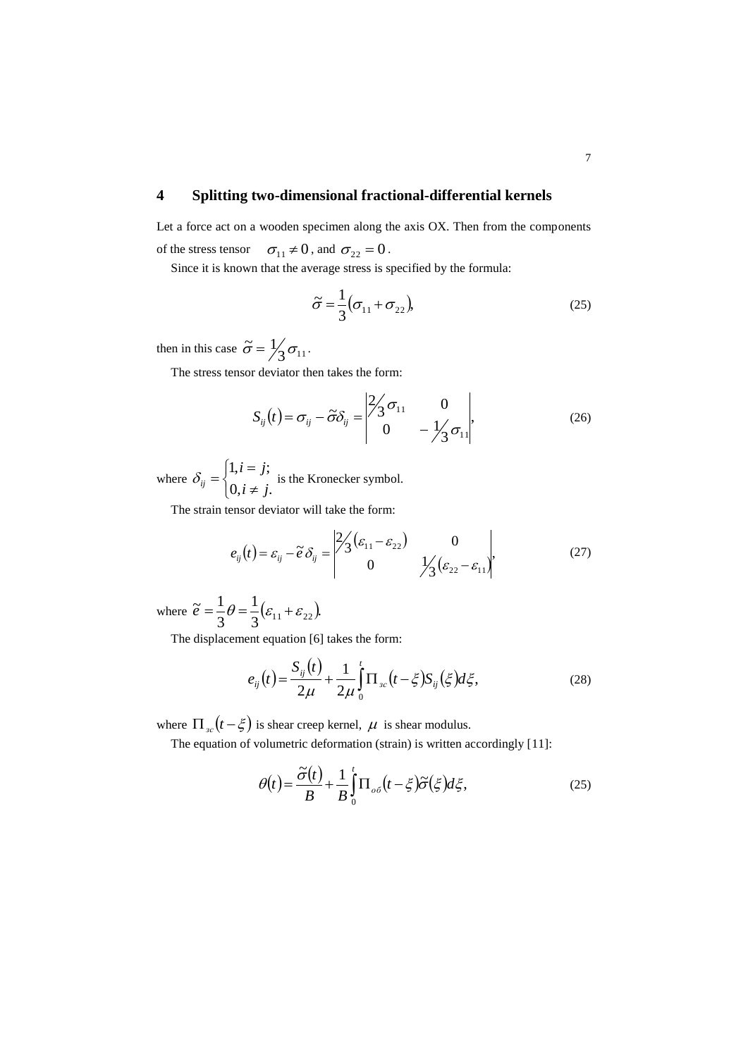# **4 Splitting two-dimensional fractional-differential kernels**

Let a force act on a wooden specimen along the axis OX. Then from the components of the stress tensor  $\sigma_{11} \neq 0$ , and  $\sigma_{22} = 0$ .

Since it is known that the average stress is specified by the formula:

$$
\tilde{\sigma} = \frac{1}{3} (\sigma_{11} + \sigma_{22}), \tag{25}
$$

then in this case  $\tilde{\sigma} = \frac{1}{3} \sigma_{11}$ .

The stress tensor deviator then takes the form:

$$
S_{ij}(t) = \sigma_{ij} - \tilde{\sigma} \delta_{ij} = \begin{vmatrix} 2/3 & 0 & 0 \\ 0 & 0 & -\frac{1}{3} \sigma_{11} \end{vmatrix},
$$
 (26)

where  $\overline{\mathcal{L}}$  $\left\{ \right.$  $\int$  $\neq$  $=$  $=$  $0, i \neq j.$  $1, i = j;$  $i \neq j$  $i = j$  $\delta_{ij} = \begin{cases} i & \text{if } j \neq j \\ 0 & \text{if } j \neq j \end{cases}$  is the Kronecker symbol.

The strain tensor deviator will take the form:

$$
e_{ij}(t) = \varepsilon_{ij} - \tilde{e}\,\delta_{ij} = \begin{vmatrix} 2/3(\varepsilon_{11} - \varepsilon_{22}) & 0\\ 0 & 1/3(\varepsilon_{22} - \varepsilon_{11}) \end{vmatrix},\tag{27}
$$

where  $\tilde{e} = \frac{1}{2}\theta = \frac{1}{2}(\varepsilon_{11} + \varepsilon_{22}).$ 3 1 3  $\widetilde{e} = \frac{1}{2}\theta = \frac{1}{2}(\varepsilon_{11} + \varepsilon_{22})$ 

The displacement equation [6] takes the form:

$$
e_{ij}(t) = \frac{S_{ij}(t)}{2\mu} + \frac{1}{2\mu} \int_{0}^{t} \Pi_{sc}(t - \xi) S_{ij}(\xi) d\xi,
$$
 (28)

where  $\prod_{x \in I} (t - \xi)$  is shear creep kernel,  $\mu$  is shear modulus.

The equation of volumetric deformation (strain) is written accordingly [11]:

$$
\theta(t) = \frac{\tilde{\sigma}(t)}{B} + \frac{1}{B} \int_{0}^{t} \Pi_{\sigma\sigma}(t - \xi) \tilde{\sigma}(\xi) d\xi,
$$
\n(25)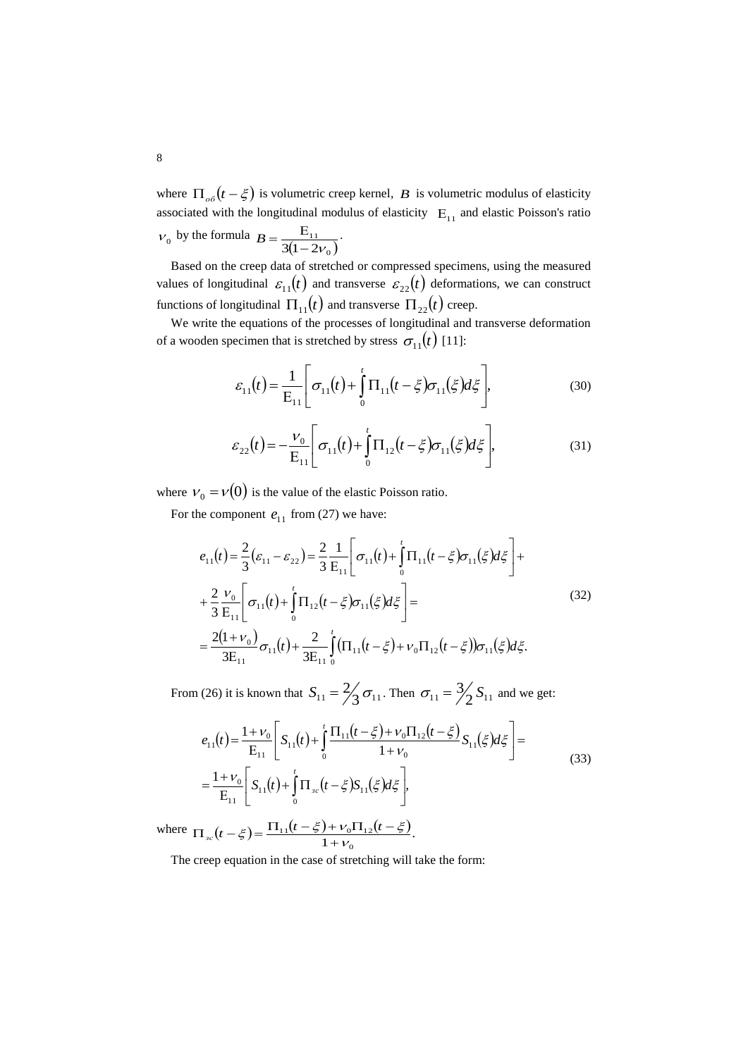where  $\Pi_{\alpha\delta}(t-\xi)$  is volumetric creep kernel, *B* is volumetric modulus of elasticity associated with the longitudinal modulus of elasticity  $E_{11}$  and elastic Poisson's ratio  $v_0$  by the formula  $\frac{E_{11}}{3(1-2v_0)}$  $B = \frac{E_{11}}{2(1 - 2)^{1}}$ .

Based on the creep data of stretched or compressed specimens, using the measured values of longitudinal  $\varepsilon_{11}(t)$  and transverse  $\varepsilon_{22}(t)$  deformations, we can construct functions of longitudinal  $\prod_{11}(t)$  and transverse  $\prod_{22}(t)$  creep.

We write the equations of the processes of longitudinal and transverse deformation of a wooden specimen that is stretched by stress  $\sigma_{11}(t)$  [11]:

$$
\varepsilon_{11}(t) = \frac{1}{\mathrm{E}_{11}} \Bigg[ \sigma_{11}(t) + \int_{0}^{t} \Pi_{11}(t - \xi) \sigma_{11}(\xi) d\xi \Bigg], \tag{30}
$$

$$
\varepsilon_{22}(t) = -\frac{v_0}{E_{11}} \left[ \sigma_{11}(t) + \int_0^t \Pi_{12}(t - \xi) \sigma_{11}(\xi) d\xi \right],
$$
\n(31)

where  $V_0 = V(0)$  is the value of the elastic Poisson ratio.

For the component  $e_{11}$  from (27) we have:

$$
e_{11}(t) = \frac{2}{3} (\varepsilon_{11} - \varepsilon_{22}) = \frac{2}{3} \frac{1}{E_{11}} \left[ \sigma_{11}(t) + \int_{0}^{t} \Pi_{11}(t - \xi) \sigma_{11}(\xi) d\xi \right] +
$$
  
+ 
$$
\frac{2}{3} \frac{\nu_{0}}{E_{11}} \left[ \sigma_{11}(t) + \int_{0}^{t} \Pi_{12}(t - \xi) \sigma_{11}(\xi) d\xi \right] =
$$
  
= 
$$
\frac{2(1 + \nu_{0})}{3E_{11}} \sigma_{11}(t) + \frac{2}{3E_{11}} \int_{0}^{t} (\Pi_{11}(t - \xi) + \nu_{0} \Pi_{12}(t - \xi)) \sigma_{11}(\xi) d\xi.
$$
 (32)

From (26) it is known that  $S_{11} = \frac{2}{3} \sigma_{11}$ . Then  $\sigma_{11} = \frac{3}{2} S_{11}$  and we get:

$$
e_{11}(t) = \frac{1 + \nu_0}{E_{11}} \left[ S_{11}(t) + \int_0^t \frac{\Pi_{11}(t - \xi) + \nu_0 \Pi_{12}(t - \xi)}{1 + \nu_0} S_{11}(\xi) d\xi \right] =
$$
  
= 
$$
\frac{1 + \nu_0}{E_{11}} \left[ S_{11}(t) + \int_0^t \Pi_{3c}(t - \xi) S_{11}(\xi) d\xi \right],
$$
 (33)

where  $\Pi_{sc}(t-\xi) = \frac{\Pi_{11}(t-\xi) + \nu_0 \Pi_{12}(t-\xi)}{1+\nu_0}$ .  $\frac{1}{11}(t-\xi)+\nu_0\Pi_{12}$  $\Pi_{3c}(t-\xi) = \frac{\Pi_{11}(t-\xi) + \nu_0 \Pi_{12}(t-\xi)}{1+\nu_0}$ 

The creep equation in the case of stretching will take the form: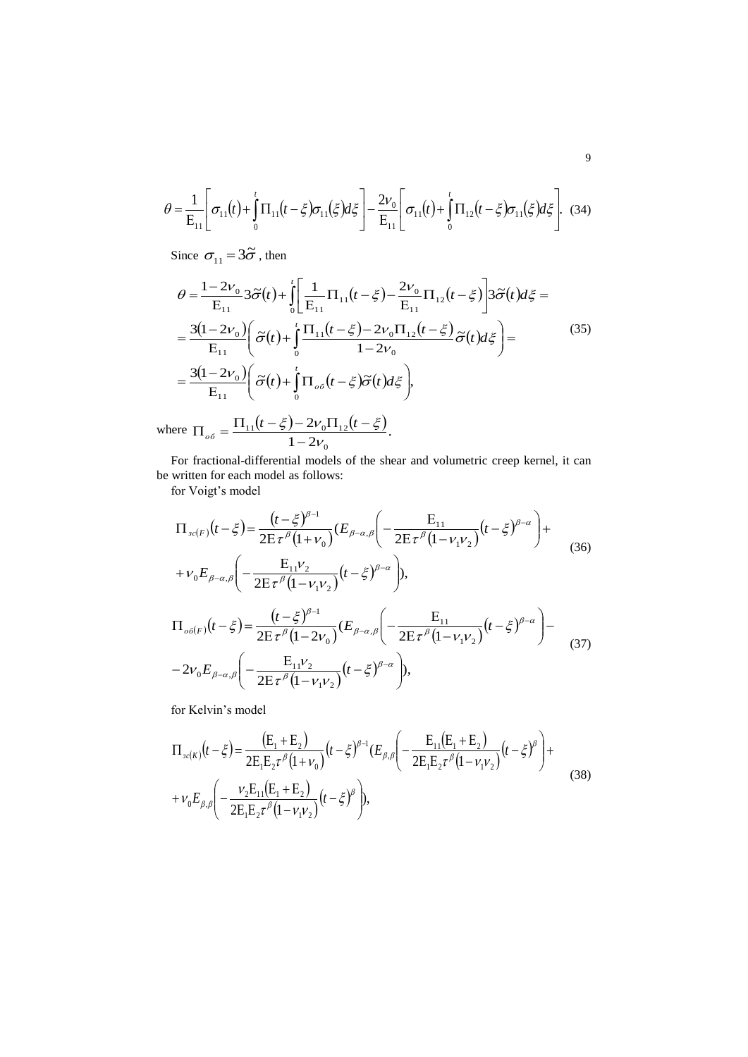$$
\theta = \frac{1}{E_{11}} \left[ \sigma_{11}(t) + \int_0^t \Pi_{11}(t - \xi) \sigma_{11}(\xi) d\xi \right] - \frac{2\nu_0}{E_{11}} \left[ \sigma_{11}(t) + \int_0^t \Pi_{12}(t - \xi) \sigma_{11}(\xi) d\xi \right].
$$
 (34)

Since  $\sigma_{11} = 3\tilde{\sigma}$ , then

$$
\theta = \frac{1 - 2v_0}{E_{11}} 3\tilde{\sigma}(t) + \int_0^t \left[ \frac{1}{E_{11}} \Pi_{11}(t - \xi) - \frac{2v_0}{E_{11}} \Pi_{12}(t - \xi) \right] 3\tilde{\sigma}(t) d\xi =
$$
  
\n
$$
= \frac{3(1 - 2v_0)}{E_{11}} \left( \tilde{\sigma}(t) + \int_0^t \frac{\Pi_{11}(t - \xi) - 2v_0 \Pi_{12}(t - \xi)}{1 - 2v_0} \tilde{\sigma}(t) d\xi \right) =
$$
  
\n
$$
= \frac{3(1 - 2v_0)}{E_{11}} \left( \tilde{\sigma}(t) + \int_0^t \Pi_{o\delta}(t - \xi) \tilde{\sigma}(t) d\xi \right),
$$
\n(35)

where  $\Pi_{oo} = \frac{\Pi_{11}(t-\xi) - 2v_0 \Pi_{12}(t-\xi)}{2}$ .  $1 - 2$ 2  $\mathbf{0}$  $\frac{1}{11}(t-\xi)-2v_0\Pi_{12}$ 'V  $\xi$ ) – 2 $v_0 \Pi_{12}(t-\xi)$  $\overline{a}$  $\prod_{o6} = \frac{\prod_{11}(t-\xi) - 2v_0 \prod_{12}(t-\xi)}{1-2v_0 \xi}$ 

For fractional-differential models of the shear and volumetric creep kernel, it can be written for each model as follows:

for Voigt's model

$$
\Pi_{sc(F)}(t-\xi) = \frac{(t-\xi)^{\beta-1}}{2E\tau^{\beta}(1+\nu_{0})}(E_{\beta-\alpha,\beta}\left(-\frac{E_{11}}{2E\tau^{\beta}(1-\nu_{1}\nu_{2})}(t-\xi)^{\beta-\alpha}\right)+\n+ \nu_{0}E_{\beta-\alpha,\beta}\left(-\frac{E_{11}\nu_{2}}{2E\tau^{\beta}(1-\nu_{1}\nu_{2})}(t-\xi)^{\beta-\alpha}\right),
$$
\n
$$
\Pi_{oc(F)}(t-\xi) = \frac{(t-\xi)^{\beta-1}}{2E\tau^{\beta}(1-2\nu_{0})}(E_{\beta-\alpha,\beta}\left(-\frac{E_{11}}{2E\tau^{\beta}(1-\nu_{1}\nu_{2})}(t-\xi)^{\beta-\alpha}\right)-\n- 2\nu_{0}E_{\beta-\alpha,\beta}\left(-\frac{E_{11}\nu_{2}}{2E\tau^{\beta}(1-\nu_{1}\nu_{2})}(t-\xi)^{\beta-\alpha}\right),
$$
\n(37)

J

for Kelvin's model

 $\setminus$ 

$$
\Pi_{\mathfrak{so}(K)}(t-\xi) = \frac{(E_1 + E_2)}{2E_1E_2\tau^{\beta}(1+\nu_0)}(t-\xi)^{\beta-1}(E_{\beta,\beta})\left(-\frac{E_{11}(E_1 + E_2)}{2E_1E_2\tau^{\beta}(1-\nu_1\nu_2)}(t-\xi)^{\beta}\right) + \nu_0E_{\beta,\beta}\left(-\frac{\nu_2E_{11}(E_1 + E_2)}{2E_1E_2\tau^{\beta}(1-\nu_1\nu_2)}(t-\xi)^{\beta}\right),
$$
\n(38)

 $(1 - \nu_1 \nu_2)$ 

 $1^{\nu}$  2

 $2E \tau ^{\beta } (1$ 

 $E \tau ^{\beta } (1 -$ 

 $\left| \beta - \alpha \right| = \frac{2 \prod_{i=1}^{n} (t - \xi)}{2 \mathbf{E} \tau^{\beta} (1 - V_{i} V_{\alpha})} (t - \xi)$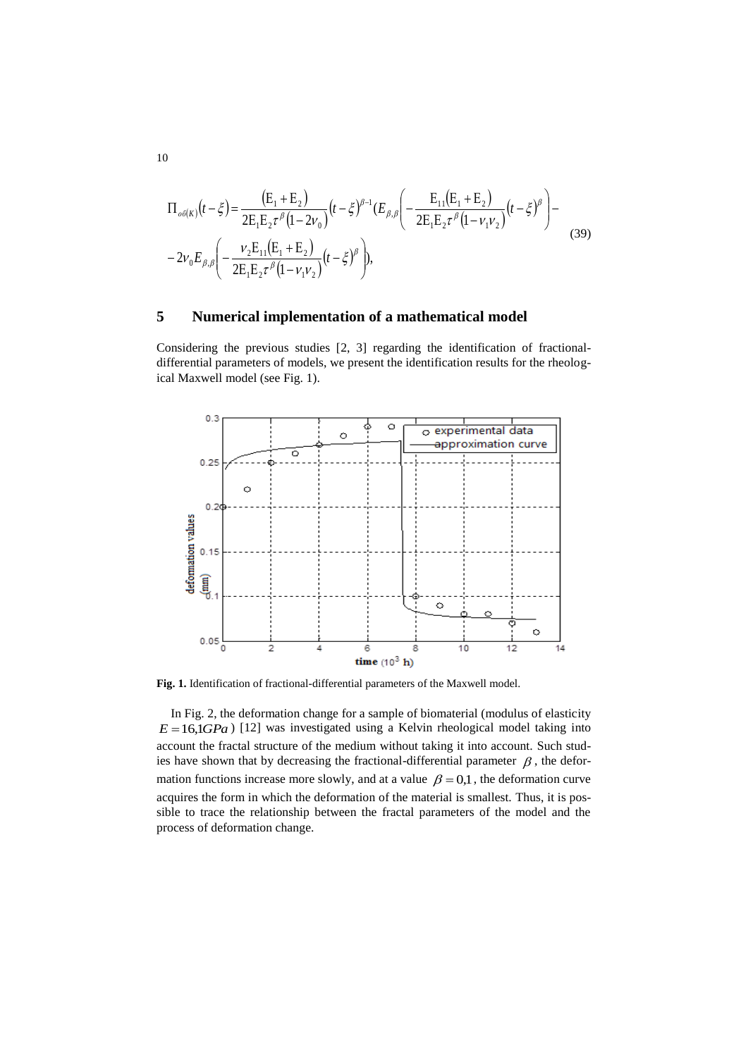$$
\Pi_{o\delta(K)}(t-\xi) = \frac{(E_1 + E_2)}{2E_1E_2\tau^{\beta}(1-2\nu_0)}(t-\xi)^{\beta-1}(E_{\beta,\beta}\left(-\frac{E_{11}(E_1 + E_2)}{2E_1E_2\tau^{\beta}(1-\nu_1\nu_2)}(t-\xi)^{\beta}\right) - 2\nu_0E_{\beta,\beta}\left(-\frac{\nu_2E_{11}(E_1 + E_2)}{2E_1E_2\tau^{\beta}(1-\nu_1\nu_2)}(t-\xi)^{\beta}\right),
$$
\n(39)

## **5 Numerical implementation of a mathematical model**

Considering the previous studies [2, 3] regarding the identification of fractionaldifferential parameters of models, we present the identification results for the rheological Maxwell model (see Fig. 1).



**Fig. 1.** Identification of fractional-differential parameters of the Maxwell model.

In Fig. 2, the deformation change for a sample of biomaterial (modulus of elasticity  $E = 16,1GPa$ ) [12] was investigated using a Kelvin rheological model taking into account the fractal structure of the medium without taking it into account. Such studies have shown that by decreasing the fractional-differential parameter  $\beta$ , the deformation functions increase more slowly, and at a value  $\beta = 0.1$ , the deformation curve acquires the form in which the deformation of the material is smallest. Thus, it is possible to trace the relationship between the fractal parameters of the model and the process of deformation change.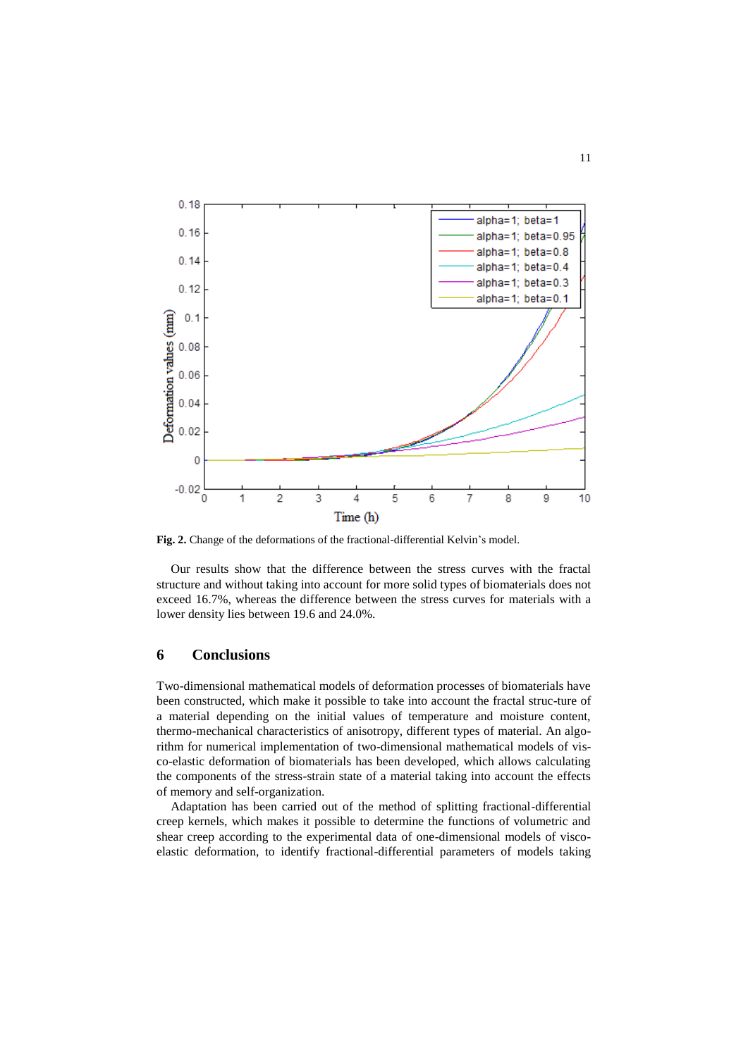

**Fig. 2.** Change of the deformations of the fractional-differential Kelvin's model.

Our results show that the difference between the stress curves with the fractal structure and without taking into account for more solid types of biomaterials does not exceed 16.7%, whereas the difference between the stress curves for materials with a lower density lies between 19.6 and 24.0%.

#### **6 Conclusions**

Two-dimensional mathematical models of deformation processes of biomaterials have been constructed, which make it possible to take into account the fractal struc-ture of a material depending on the initial values of temperature and moisture content, thermo-mechanical characteristics of anisotropy, different types of material. An algorithm for numerical implementation of two-dimensional mathematical models of visco-elastic deformation of biomaterials has been developed, which allows calculating the components of the stress-strain state of a material taking into account the effects of memory and self-organization.

Adaptation has been carried out of the method of splitting fractional-differential creep kernels, which makes it possible to determine the functions of volumetric and shear creep according to the experimental data of one-dimensional models of viscoelastic deformation, to identify fractional-differential parameters of models taking